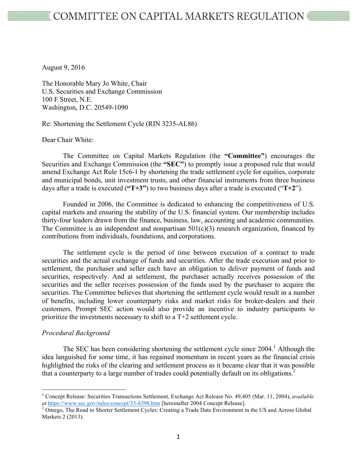August 9, 2016

The Honorable Mary Jo White, Chair U.S. Securities and Exchange Commission 100 F Street, N.E. Washington, D.C. 20549-1090

Re: Shortening the Settlement Cycle (RIN 3235-AL86)

Dear Chair White:

The Committee on Capital Markets Regulation (the **"Committee"**) encourages the Securities and Exchange Commission (the **"SEC"**) to promptly issue a proposed rule that would amend Exchange Act Rule 15c6-1 by shortening the trade settlement cycle for equities, corporate and municipal bonds, unit investment trusts, and other financial instruments from three business days after a trade is executed (**"T+3"**) to two business days after a trade is executed ("**T+2**").

Founded in 2006, the Committee is dedicated to enhancing the competitiveness of U.S. capital markets and ensuring the stability of the U.S. financial system. Our membership includes thirty-four leaders drawn from the finance, business, law, accounting and academic communities. The Committee is an independent and nonpartisan  $501(c)(3)$  research organization, financed by contributions from individuals, foundations, and corporations.

The settlement cycle is the period of time between execution of a contract to trade securities and the actual exchange of funds and securities. After the trade execution and prior to settlement, the purchaser and seller each have an obligation to deliver payment of funds and securities, respectively. And at settlement, the purchaser actually receives possession of the securities and the seller receives possession of the funds used by the purchaser to acquire the securities. The Committee believes that shortening the settlement cycle would result in a number of benefits, including lower counterparty risks and market risks for broker-dealers and their customers. Prompt SEC action would also provide an incentive to industry participants to prioritize the investments necessary to shift to a T+2 settlement cycle.

## *Procedural Background*

The SEC has been considering shortening the settlement cycle since 2004.<sup>1</sup> Although the idea languished for some time, it has regained momentum in recent years as the financial crisis highlighted the risks of the clearing and settlement process as it became clear that it was possible that a counterparty to a large number of trades could potentially default on its obligations. 2

 <sup>1</sup> Concept Release: Securities Transactions Settlement, Exchange Act Release No. 49,405 (Mar. 11, 2004), *available at* https://www.sec.gov/rules/concept/33-8398.htm [hereinafter 2004 Concept Release]. <sup>2</sup> Omego, The Road to Shorter Settlement Cycles: Creating a Trade Date Environment in the US and Across Global

Markets 2 (2013).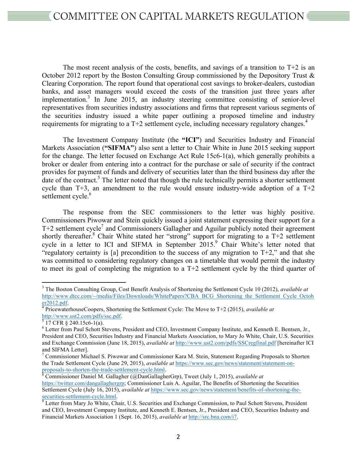The most recent analysis of the costs, benefits, and savings of a transition to  $T+2$  is an October 2012 report by the Boston Consulting Group commissioned by the Depository Trust & Clearing Corporation. The report found that operational cost savings to broker-dealers, custodian banks, and asset managers would exceed the costs of the transition just three years after implementation. <sup>3</sup> In June 2015, an industry steering committee consisting of senior-level representatives from securities industry associations and firms that represent various segments of the securities industry issued a white paper outlining a proposed timeline and industry requirements for migrating to a  $T+2$  settlement cycle, including necessary regulatory changes.<sup>4</sup>

The Investment Company Institute (the **"ICI"**) and Securities Industry and Financial Markets Association (**"SIFMA"**) also sent a letter to Chair White in June 2015 seeking support for the change. The letter focused on Exchange Act Rule 15c6-1(a), which generally prohibits a broker or dealer from entering into a contract for the purchase or sale of security if the contract provides for payment of funds and delivery of securities later than the third business day after the date of the contract.<sup>5</sup> The letter noted that though the rule technically permits a shorter settlement cycle than  $T+3$ , an amendment to the rule would ensure industry-wide adoption of a  $T+2$ settlement cycle.<sup>6</sup>

The response from the SEC commissioners to the letter was highly positive. Commissioners Piwowar and Stein quickly issued a joint statement expressing their support for a  $T+2$  settlement cycle<sup>7</sup> and Commissioners Gallagher and Aguilar publicly noted their agreement shortly thereafter.<sup>8</sup> Chair White stated her "strong" support for migrating to a  $T+2$  settlement cycle in a letter to ICI and SIFMA in September 2015. <sup>9</sup> Chair White's letter noted that "regulatory certainty is [a] precondition to the success of any migration to  $T+2$ ," and that she was committed to considering regulatory changes on a timetable that would permit the industry to meet its goal of completing the migration to a T+2 settlement cycle by the third quarter of

 <sup>3</sup> The Boston Consulting Group, Cost Benefit Analysis of Shortening the Settlement Cycle 10 (2012), *available at* http://www.dtcc.com/~/media/Files/Downloads/WhitePapers?CBA\_BCG\_Shortening\_the\_Settlement\_Cycle\_Octob

er2012.pdf.<br><sup>4</sup> PricewaterhouseCoopers, Shortening the Settlement Cycle: The Move to T+2 (2015), *available at*<br> $\frac{http://www.ust2.com/pdfs/ssc.pdf}{5}$ .<br><sup>5</sup> 17 CFR § 240.15c6-1(a).

 $6$  Letter from Paul Schott Stevens, President and CEO, Investment Company Institute, and Kenneth E. Bentsen, Jr., President and CEO, Securities Industry and Financial Markets Association, to Mary Jo White, Chair, U.S. Securities and Exchange Commission (June 18, 2015), *available at* http://www.ust2.com/pdfs/SSCregfinal.pdf [hereinafter ICI and SIFMA Letter].

 $7$  Commissioner Michael S. Piwowar and Commissioner Kara M. Stein, Statement Regarding Proposals to Shorten the Trade Settlement Cycle (June 29, 2015), *available at* https://www.sec.gov/news/statement/statement-onproposals-to-shorten-the-trade-settlement-cycle.html. 8 Commissioner Daniel M. Gallagher (@DanGallagherGrp), Tweet (July 1, 2015), *available at*

https://twitter.com/dangallaghergrp; Commissioner Luis A. Aguilar, The Benefits of Shortening the Securities Settlement Cycle (July 16, 2015), *available at* https://www.sec.gov/news/statement/benefits-of-shortening-thesecurities-settlement-cycle.html.<br><sup>9</sup> Letter from Mary Jo White, Chair, U.S. Securities and Exchange Commission, to Paul Schott Stevens, President

and CEO, Investment Company Institute, and Kenneth E. Bentsen, Jr., President and CEO, Securities Industry and Financial Markets Association 1 (Sept. 16, 2015), *available at* http://src.bna.com/i7.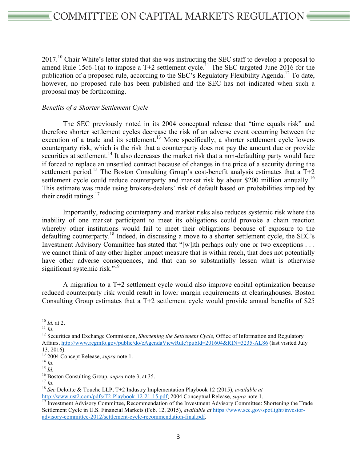$2017<sup>10</sup>$  Chair White's letter stated that she was instructing the SEC staff to develop a proposal to amend Rule 15c6-1(a) to impose a T+2 settlement cycle.<sup>11</sup> The SEC targeted June 2016 for the publication of a proposed rule, according to the SEC's Regulatory Flexibility Agenda.<sup>12</sup> To date, however, no proposed rule has been published and the SEC has not indicated when such a proposal may be forthcoming.

## *Benefits of a Shorter Settlement Cycle*

The SEC previously noted in its 2004 conceptual release that "time equals risk" and therefore shorter settlement cycles decrease the risk of an adverse event occurring between the execution of a trade and its settlement.<sup>13</sup> More specifically, a shorter settlement cycle lowers counterparty risk, which is the risk that a counterparty does not pay the amount due or provide securities at settlement.<sup>14</sup> It also decreases the market risk that a non-defaulting party would face if forced to replace an unsettled contract because of changes in the price of a security during the settlement period.<sup>15</sup> The Boston Consulting Group's cost-benefit analysis estimates that a T+2 settlement cycle could reduce counterparty and market risk by about \$200 million annually.<sup>16</sup> This estimate was made using brokers-dealers' risk of default based on probabilities implied by their credit ratings. $17$ 

Importantly, reducing counterparty and market risks also reduces systemic risk where the inability of one market participant to meet its obligations could provoke a chain reaction whereby other institutions would fail to meet their obligations because of exposure to the defaulting counterparty.<sup>18</sup> Indeed, in discussing a move to a shorter settlement cycle, the SEC's Investment Advisory Committee has stated that "[w]ith perhaps only one or two exceptions . . . we cannot think of any other higher impact measure that is within reach, that does not potentially have other adverse consequences, and that can so substantially lessen what is otherwise significant systemic risk."<sup>19</sup>

A migration to a T+2 settlement cycle would also improve capital optimization because reduced counterparty risk would result in lower margin requirements at clearinghouses. Boston Consulting Group estimates that a T+2 settlement cycle would provide annual benefits of \$25

<sup>&</sup>lt;sup>10</sup> *Id.* at 2.<br><sup>11</sup> *Id.*<br><sup>12</sup> Securities and Exchange Commission, *Shortening the Settlement Cycle*, Office of Information and Regulatory Affairs, http://www.reginfo.gov/public/do/eAgendaViewRule?pubId=201604&RIN=3235-AL86 (last visited July

<sup>13, 2016).&</sup>lt;br>
<sup>13</sup> 2004 Concept Release, *supra* note 1.<br>
<sup>14</sup> *Id.*<br>
<sup>15</sup> *Id.*<br>
<sup>16</sup> Boston Consulting Group, *supra* note 3, at 35.<br>
<sup>17</sup> *Id.*<br>
<sup>18</sup> *See* Deloitte & Touche LLP, T+2 Industry Implementation Playbook 12 (

http://www.ust2.com/pdfs/T2-Playbook-12-21-15.pdf; 2004 Conceptual Release, *supra* note 1.<br><sup>19</sup> Investment Advisory Committee, Recommendation of the Investment Advisory Committee: Shortening the Trade

Settlement Cycle in U.S. Financial Markets (Feb. 12, 2015), *available at* https://www.sec.gov/spotlight/investoradvisory-committee-2012/settlement-cycle-recommendation-final.pdf.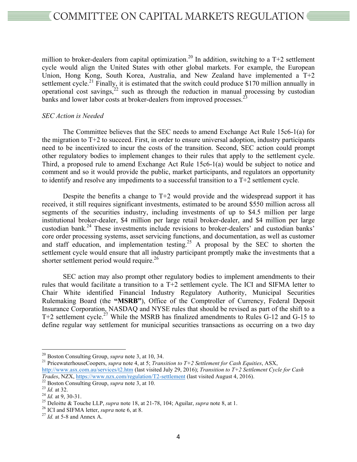million to broker-dealers from capital optimization.<sup>20</sup> In addition, switching to a  $T+2$  settlement cycle would align the United States with other global markets. For example, the European Union, Hong Kong, South Korea, Australia, and New Zealand have implemented a T+2 settlement cycle.<sup>21</sup> Finally, it is estimated that the switch could produce \$170 million annually in operational cost savings,  $2^2$  such as through the reduction in manual processing by custodian banks and lower labor costs at broker-dealers from improved processes.<sup>23</sup>

## *SEC Action is Needed*

The Committee believes that the SEC needs to amend Exchange Act Rule 15c6-1(a) for the migration to  $T+2$  to succeed. First, in order to ensure universal adoption, industry participants need to be incentivized to incur the costs of the transition. Second, SEC action could prompt other regulatory bodies to implement changes to their rules that apply to the settlement cycle. Third, a proposed rule to amend Exchange Act Rule 15c6-1(a) would be subject to notice and comment and so it would provide the public, market participants, and regulators an opportunity to identify and resolve any impediments to a successful transition to a T+2 settlement cycle.

Despite the benefits a change to T+2 would provide and the widespread support it has received, it still requires significant investments, estimated to be around \$550 million across all segments of the securities industry, including investments of up to \$4.5 million per large institutional broker-dealer, \$4 million per large retail broker-dealer, and \$4 million per large custodian bank. <sup>24</sup> These investments include revisions to broker-dealers' and custodian banks' core order processing systems, asset servicing functions, and documentation, as well as customer and staff education, and implementation testing.<sup>25</sup> A proposal by the SEC to shorten the settlement cycle would ensure that all industry participant promptly make the investments that a shorter settlement period would require.<sup>26</sup>

SEC action may also prompt other regulatory bodies to implement amendments to their rules that would facilitate a transition to a T+2 settlement cycle. The ICI and SIFMA letter to Chair White identified Financial Industry Regulatory Authority, Municipal Securities Rulemaking Board (the **"MSRB"**), Office of the Comptroller of Currency, Federal Deposit Insurance Corporation, NASDAQ and NYSE rules that should be revised as part of the shift to a T+2 settlement cycle.<sup>27</sup> While the MSRB has finalized amendments to Rules G-12 and G-15 to define regular way settlement for municipal securities transactions as occurring on a two day

<sup>&</sup>lt;sup>20</sup> Boston Consulting Group, *supra* note 3, at 10, 34.<br><sup>21</sup> PricewaterhouseCoopers, *supra* note 4, at 5; *Transition to T+2 Settlement for Cash Equities*, ASX, http://www.asx.com.au/services/t2.htm (last visited July 29, 2016); *Transition to T+2 Settlement Cycle for Cash* 

<sup>&</sup>lt;sup>22</sup> Boston Consulting Group, *supra* note 3, at 10.<br>
<sup>23</sup> *Id.* at 32.<br>
<sup>24</sup> *Id.* at 9, 30-31.<br>
<sup>25</sup> Deloitte & Touche LLP, *supra* note 18, at 21-78, 104; Aguilar, *supra* note 8, at 1.<br>
<sup>26</sup> ICI and SIFMA letter, *sup*